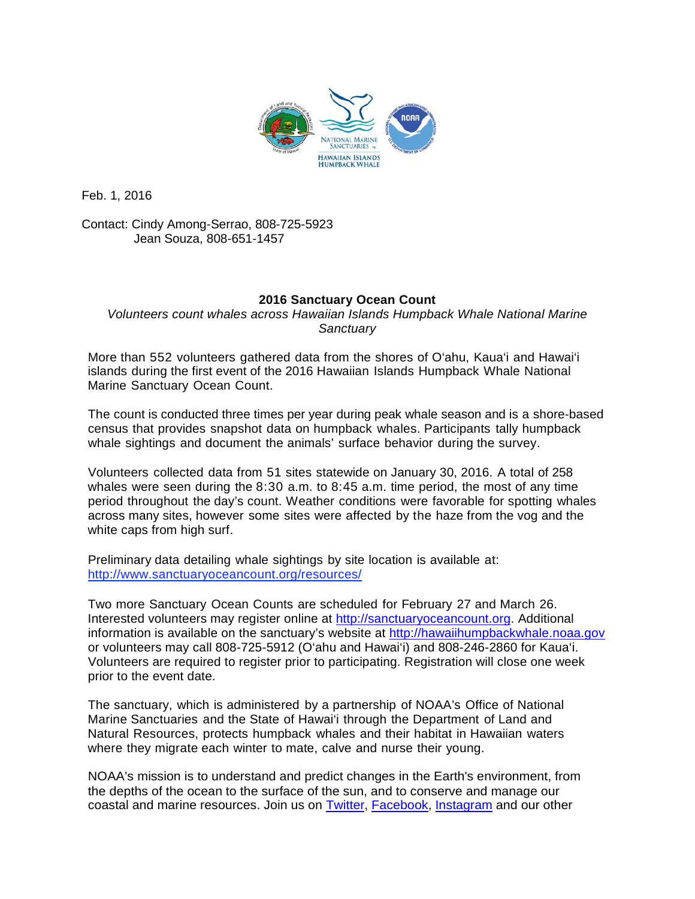

Feb. 1, 2016

Contact: Cindy Among-Serrao, 808-725-5923 Jean Souza, 808-651-1457

## **2016 Sanctuary Ocean Count**

*Volunteers count whales across Hawaiian Islands Humpback Whale National Marine Sanctuary*

More than 552 volunteers gathered data from the shores of O'ahu, Kaua'i and Hawai'i islands during the first event of the 2016 Hawaiian Islands Humpback Whale National Marine Sanctuary Ocean Count.

The count is conducted three times per year during peak whale season and is a shore-based census that provides snapshot data on humpback whales. Participants tally humpback whale sightings and document the animals' surface behavior during the survey.

Volunteers collected data from 51 sites statewide on January 30, 2016. A total of 258 whales were seen during the 8:30 a.m. to 8:45 a.m. time period, the most of any time period throughout the day's count. Weather conditions were favorable for spotting whales across many sites, however some sites were affected by the haze from the vog and the white caps from high surf.

Preliminary data detailing whale sightings by site location is available at: <http://www.sanctuaryoceancount.org/resources/>

Two more Sanctuary Ocean Counts are scheduled for February 27 and March 26. Interested volunteers may register online at [http://sanctuaryoceancount.org.](http://sanctuaryoceancount.org/) Additional information is available on the sanctuary's website at [http://hawaiihumpbackwhale.noaa.gov](http://hawaiihumpbackwhale.noaa.gov/) or volunteers may call 808-725-5912 (O'ahu and Hawai'i) and 808-246-2860 for Kaua'i. Volunteers are required to register prior to participating. Registration will close one week prior to the event date.

The sanctuary, which is administered by a partnership of NOAA's Office of National Marine Sanctuaries and the State of Hawai'i through the Department of Land and Natural Resources, protects humpback whales and their habitat in Hawaiian waters where they migrate each winter to mate, calve and nurse their young.

NOAA's mission is to understand and predict changes in the Earth's environment, from the depths of the ocean to the surface of the sun, and to conserve and manage our coastal and marine resources. Join us on [Twitter,](http://www.noaanews.noaa.gov/exit.html?https%3A%2F%2Ftwitter.com%2FNOAA) [Facebook,](http://www.noaanews.noaa.gov/exit.html?https%3A%2F%2Fwww.facebook.com%2FNOAA) [Instagram](http://www.noaanews.noaa.gov/exit.html?http%3A%2F%2Finstagram.com%2Fnoaa%3Fref%3Dbadge) and our other